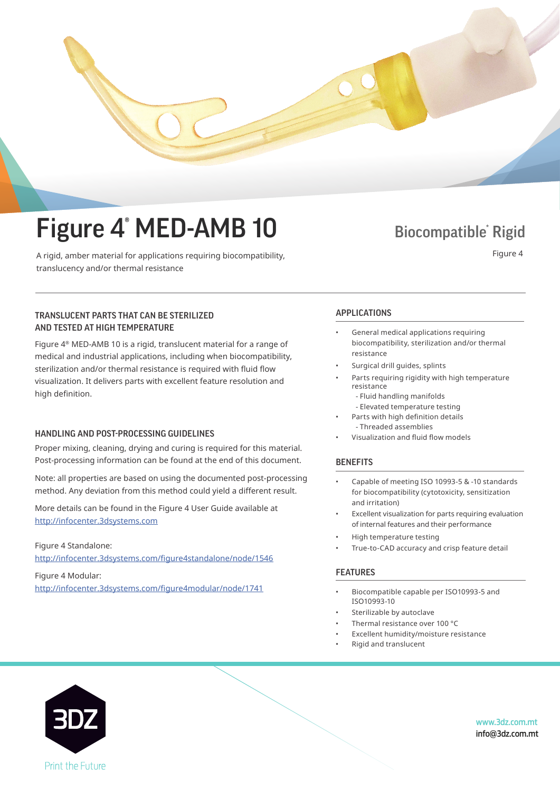

A rigid, amber material for applications requiring biocompatibility, translucency and/or thermal resistance

#### TRANSLUCENT PARTS THAT CAN BE STERILIZED AND TESTED AT HIGH TEMPERATURE

translucency and or the state of the state of the state of the state of the state of the state of the state of

Figure  $4^{\circ}$  MED-AMB 10 is a rigid, translucent material for a range of medical and industrial applications, including when biocompatibility, sterilization and/or thermal resistance is required with fluid flow visualization. It delivers parts with excellent feature resolution and sterilization and or the resistance is required with fluid flow  $\alpha$ high definition.

#### HANDLING AND POST-PROCESSING GUIDELINES

Post-processing information can be found at the end of this document. Proper mixing, cleaning, drying and curing is required for this material.

Note: all properties are based on using the documented post-processing method. Any deviation from this method could yield a different result.

More details can be found in the Figure 4 User Guide available at<br>. http://infocenter.3dsystems.com

Figure 4 Standalone: The Figure 4 User Guide at  $\epsilon$ http://infocenter.3dsystems.com http://infocenter.3dsystems.com/figure4standalone/node/1546

http://infocenter.3dsystems.com/figure4modular/node/1741 Figure 4 Modular:

*Note: Not all products and materials are available in all countries —* 

#### APPLICATIONS

- APPLICATIONS biocompatibility, sterilization and/or thermal • General medical applications requiring resistance
- General medical applications requiring Surgical drill guides, splints
- biocompatibility, sterilization and/or thermal Parts requiring rigidity with high temperature resistance resistance
- Fluid handling manifolds
- Elevated temperature testing
- Parts with high definition details - Threaded assemblies
- Visualization and fluid flow models

• Visualization and fluid flow models

#### BENEFITS **Assemblies**

- for biocompatibility (cytotoxicity, sensitization<br> $\mathbf{E} = \mathbf{E} \cdot \mathbf{E} \cdot \mathbf{E} \cdot \mathbf{E}$ • Capable of meeting ISO 10993-5 & -10 standards and irritation)
- $\bm{\cdot}$  Excellent visualization for parts requiring evaluation of internal features and their performance
- High temperature testing
- $\bm{\cdot}$  True-to-CAD accuracy and crisp feature detail

### FEATURES

- Biocompatible capable per ISO10993-5 and ISO10993-10
- Sterilizable by autoclave
- Thermal resistance over 100 °C
- Excellent humidity/moisture resistance

• Thermal resistance over 100 °C

• Rigid and translucent



www.3dz.com.mt info@3dz.com.mt

Figure 4

**Biocompatible Rigid**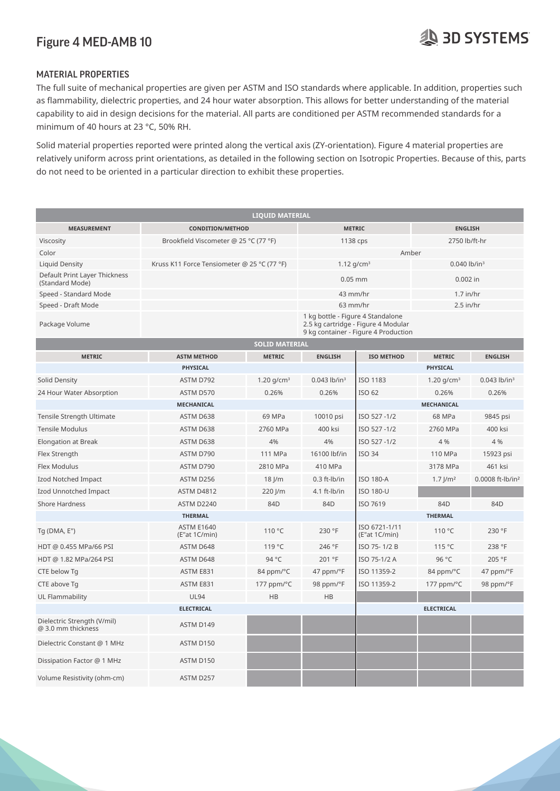#### Figure 4 MED-AMB 10 Figure 4 MED-AMB 10

# MATERIAL PROPERTIES MATERIAL PROPERTIES

The full suite of mechanical properties are given per ASTM and ISO standards where applicable. In addition, properties such as flammability, dielectric properties, and 24 hour water absorption. This allows for better understanding of the material capability to aid in design decisions for the material. All parts are conditioned per ASTM recommended standards for a minimum of 40 hours at 23 °C, 50% RH. minimum of 40 hours at 23 °C, 50% RH.

Solid material properties reported were printed along the vertical axis (ZY-orientation). Figure 4 material properties are relatively uniform across print orientations, as detailed in the following section on Isotropic Properties. Because of this, parts do not need to be oriented in a particular direction to exhibit these properties. do not need to be oriented in a particular direction to exhibit these properties.

| <b>LIQUID MATERIAL</b>                            |                                             |                        |                            |                                                                                                                  |                        |                              |  |  |  |  |  |  |
|---------------------------------------------------|---------------------------------------------|------------------------|----------------------------|------------------------------------------------------------------------------------------------------------------|------------------------|------------------------------|--|--|--|--|--|--|
| <b>MEASUREMENT</b>                                | <b>CONDITION/METHOD</b>                     | <b>METRIC</b>          |                            | <b>ENGLISH</b>                                                                                                   |                        |                              |  |  |  |  |  |  |
| Viscosity                                         | Brookfield Viscometer @ 25 °C (77 °F)       | 1138 cps               |                            | 2750 lb/ft-hr                                                                                                    |                        |                              |  |  |  |  |  |  |
| Color                                             |                                             |                        | Amber                      |                                                                                                                  |                        |                              |  |  |  |  |  |  |
| Liquid Density                                    | Kruss K11 Force Tensiometer @ 25 °C (77 °F) | 1.12 $g/cm^3$          |                            | $0.040$ lb/in <sup>3</sup>                                                                                       |                        |                              |  |  |  |  |  |  |
| Default Print Layer Thickness<br>(Standard Mode)  |                                             | $0.05$ mm              |                            | $0.002$ in                                                                                                       |                        |                              |  |  |  |  |  |  |
| Speed - Standard Mode                             |                                             |                        | 43 mm/hr                   |                                                                                                                  | $1.7$ in/hr            |                              |  |  |  |  |  |  |
| Speed - Draft Mode                                |                                             | 63 mm/hr               |                            | $2.5$ in/hr                                                                                                      |                        |                              |  |  |  |  |  |  |
| Package Volume                                    |                                             |                        |                            | 1 kg bottle - Figure 4 Standalone<br>2.5 kg cartridge - Figure 4 Modular<br>9 kg container - Figure 4 Production |                        |                              |  |  |  |  |  |  |
| <b>SOLID MATERIAL</b>                             |                                             |                        |                            |                                                                                                                  |                        |                              |  |  |  |  |  |  |
| <b>METRIC</b>                                     | <b>ASTM METHOD</b>                          | <b>METRIC</b>          | <b>ENGLISH</b>             | <b>ISO METHOD</b>                                                                                                | <b>METRIC</b>          | <b>ENGLISH</b>               |  |  |  |  |  |  |
|                                                   | <b>PHYSICAL</b>                             |                        |                            |                                                                                                                  | <b>PHYSICAL</b>        |                              |  |  |  |  |  |  |
| Solid Density                                     | ASTM D792                                   | 1.20 g/cm <sup>3</sup> | $0.043$ lb/in <sup>3</sup> | ISO 1183                                                                                                         | 1.20 $g/cm^3$          | $0.043$ lb/in <sup>3</sup>   |  |  |  |  |  |  |
| 24 Hour Water Absorption                          | ASTM D570                                   | 0.26%                  | 0.26%                      | ISO 62                                                                                                           | 0.26%                  | 0.26%                        |  |  |  |  |  |  |
|                                                   | MECHANICAL                                  |                        |                            | <b>MECHANICAL</b>                                                                                                |                        |                              |  |  |  |  |  |  |
| Tensile Strength Ultimate                         | ASTM D638                                   | 69 MPa                 | 10010 psi                  | ISO 527-1/2                                                                                                      | 68 MPa                 | 9845 psi                     |  |  |  |  |  |  |
| <b>Tensile Modulus</b>                            | ASTM D638                                   | 2760 MPa               | 400 ksi                    | ISO 527-1/2                                                                                                      | 2760 MPa               | 400 ksi                      |  |  |  |  |  |  |
| Elongation at Break                               | ASTM D638                                   | 4%                     | 4%                         | ISO 527-1/2                                                                                                      | 4 %                    | 4 %                          |  |  |  |  |  |  |
| Flex Strength                                     | ASTM D790                                   | 111 MPa                | 16100 lbf/in               | <b>ISO 34</b>                                                                                                    | 110 MPa                | 15923 psi                    |  |  |  |  |  |  |
| Flex Modulus                                      | ASTM D790                                   | 2810 MPa               | 410 MPa                    |                                                                                                                  | 3178 MPa               | 461 ksi                      |  |  |  |  |  |  |
| Izod Notched Impact                               | ASTM D256                                   | $18$ J/m               | $0.3$ ft- $I$ b/in         | <b>ISO 180-A</b>                                                                                                 | $1.7$ J/m <sup>2</sup> | 0.0008 ft-lb/in <sup>2</sup> |  |  |  |  |  |  |
| Izod Unnotched Impact                             | <b>ASTM D4812</b>                           | 220 J/m                | $4.1$ ft-lb/in             | <b>ISO 180-U</b>                                                                                                 |                        |                              |  |  |  |  |  |  |
| <b>Shore Hardness</b>                             | <b>ASTM D2240</b>                           | 84D                    | 84D                        | ISO 7619                                                                                                         | 84D                    | 84D                          |  |  |  |  |  |  |
|                                                   | <b>THERMAL</b>                              |                        | <b>THERMAL</b>             |                                                                                                                  |                        |                              |  |  |  |  |  |  |
| Tg (DMA, E")                                      | <b>ASTM E1640</b><br>(E"at 1C/min)          | 110 °C                 | 230 °F                     | ISO 6721-1/11<br>(E"at 1C/min)                                                                                   | 110 °C                 | 230 °F                       |  |  |  |  |  |  |
| HDT @ 0.455 MPa/66 PSI                            | ASTM D648                                   | 119 °C                 | 246 °F                     | ISO 75-1/2 B                                                                                                     | 115 °C                 | 238 °F                       |  |  |  |  |  |  |
| HDT @ 1.82 MPa/264 PSI                            | ASTM D648                                   | 94 °C                  | 201 °F                     | ISO 75-1/2 A                                                                                                     | 96 °C                  | 205 °F                       |  |  |  |  |  |  |
| CTE below Tq                                      | ASTM E831                                   | 84 ppm/°C              | 47 ppm/°F                  | ISO 11359-2                                                                                                      | 84 ppm/°C              | 47 ppm/°F                    |  |  |  |  |  |  |
| CTE above Tg                                      | ASTM E831                                   | 177 ppm/°C             | 98 ppm/°F                  | ISO 11359-2                                                                                                      | 177 ppm/°C             | 98 ppm/°F                    |  |  |  |  |  |  |
| UL Flammability                                   | <b>UL94</b>                                 | HB                     | HB                         |                                                                                                                  |                        |                              |  |  |  |  |  |  |
|                                                   | <b>ELECTRICAL</b>                           |                        |                            | <b>ELECTRICAL</b>                                                                                                |                        |                              |  |  |  |  |  |  |
| Dielectric Strength (V/mil)<br>@ 3.0 mm thickness | ASTM D149                                   |                        |                            |                                                                                                                  |                        |                              |  |  |  |  |  |  |
| Dielectric Constant @ 1 MHz                       | ASTM D150                                   |                        |                            |                                                                                                                  |                        |                              |  |  |  |  |  |  |
| Dissipation Factor @ 1 MHz                        | ASTM D150                                   |                        |                            |                                                                                                                  |                        |                              |  |  |  |  |  |  |
| Volume Resistivity (ohm-cm)                       | ASTM D257                                   |                        |                            |                                                                                                                  |                        |                              |  |  |  |  |  |  |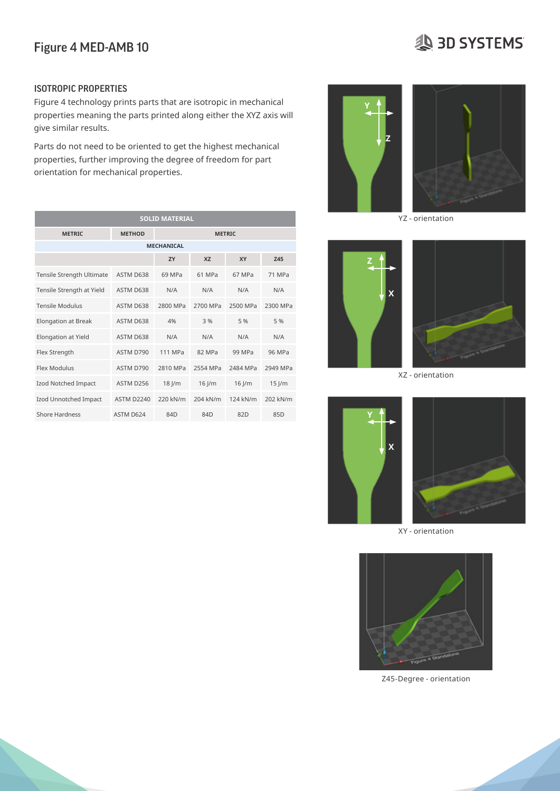# Figure 4 MED-AMB 10

# **SD SYSTEMS**

#### ISOTROPIC PROPERTIES

Figure 4 technology prints parts that are isotropic in mechanical properties meaning the parts printed along either the XYZ axis will  $\,$ give similar results. capability to aid in decisions for the material of the material per  $\mathbf{Y}$   $\uparrow$   $\uparrow$   $\uparrow$   $\uparrow$   $\uparrow$ 

Parts do not need to be oriented to get the highest mechanical relative domocritical to be oriented to get the inglied the financial control windows properties, further improving the degree of freedom for part orientation for mechanical properties. properties, further improving the degree or recummor part

| <b>SOLID MATERIAL</b>      |                   |               |            |          |          |  |
|----------------------------|-------------------|---------------|------------|----------|----------|--|
| <b>METRIC</b>              | <b>METHOD</b>     | <b>METRIC</b> |            |          |          |  |
| <b>MECHANICAL</b>          |                   |               |            |          |          |  |
|                            |                   | ZY            | <b>XZ</b>  | XY       | Z45      |  |
| Tensile Strength Ultimate  | ASTM D638         | 69 MPa        | 61 MPa     | 67 MPa   | 71 MPa   |  |
| Tensile Strength at Yield  | ASTM D638         | N/A           | N/A        | N/A      | N/A      |  |
| <b>Tensile Modulus</b>     | ASTM D638         | 2800 MPa      | 2700 MPa   | 2500 MPa | 2300 MPa |  |
| <b>Elongation at Break</b> | ASTM D638         | 4%            | 3 %        | 5 %      | 5 %      |  |
| Elongation at Yield        | ASTM D638         | N/A           | N/A        | N/A      | N/A      |  |
| Flex Strength              | ASTM D790         | 111 MPa       | 82 MPa     | 99 MPa   | 96 MPa   |  |
| Flex Modulus               | ASTM D790         | 2810 MPa      | 2554 MPa   | 2484 MPa | 2949 MPa |  |
| Izod Notched Impact        | ASTM D256         | $18$ J/m      | $16$ $\mu$ | $16$ J/m | $15$ J/m |  |
| Izod Unnotched Impact      | <b>ASTM D2240</b> | 220 kN/m      | 204 kN/m   | 124 kN/m | 202 kN/m |  |
| Shore Hardness             | ASTM D624         | 84D           | 84D        | 82D      | 85D      |  |









XY - orientation



Z45-Degree - orientation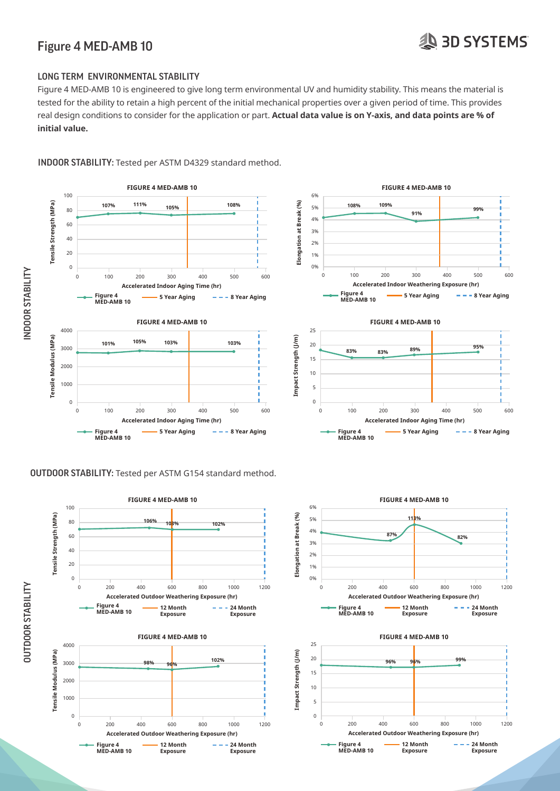### Figure 4 MED-AMB 10 Figure 4 MED-AMB 10

# **SD SYSTEMS**

#### LONG TERM ENVIRONMENTAL STABILITY THE FULL SUITE OF MECHANICAL PROPERTIES ARE GIVEN PER ASTMEDIES ARE GIVEN PER ASTMEDIES SUCH A PPLICABLE APPLICABLE OF PROPERTIES SUCH AND ISO STANDARDS WHERE APPLICABLE OF PROPERTIES SUCH A PPLICABLE OF PROPERTIES SUCH A

Figure 4 MED-AMB 10 is engineered to give long term environmental UV and humidity stability. This means the material is tested for the ability to retain a high percent of the initial mechanical properties over a given period of time. This provides real design conditions to consider for the application or part. **Actual data value is on Y-axis, and data points are % of initial value.**  as flammability is engineered to give long term environmental ovand numbility stability. This means the material is



## INDOOR STABILITY: Tested per ASTM D4329 standard method.

#### **OUTDOOR STABILITY:** Tested per ASTM G154 standard method.

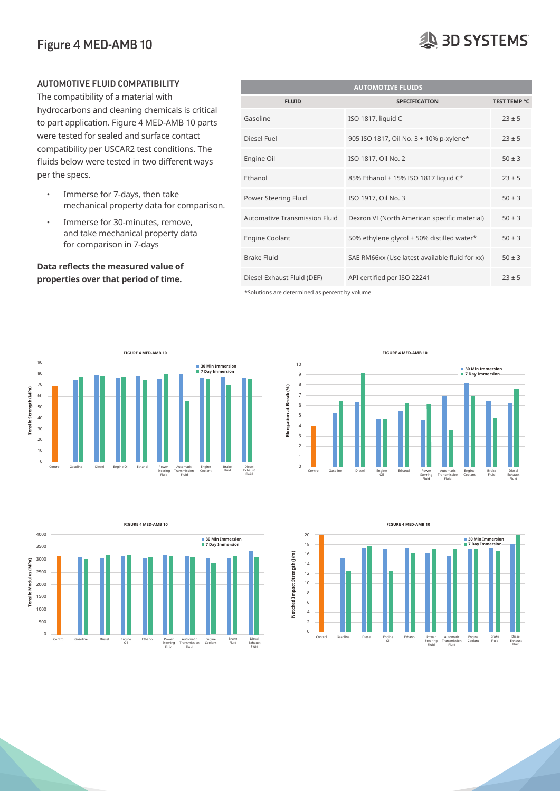#### Figure 4 MED-AMB 10  $F<sup>i</sup>$  4 MED-AMB 10

- Immerse for 7-days, then take mechanical property data for comparison.
- 

| AUTOMOTIVE FLUID COMPATIBILITY                                                                    | <b>AUTOMOTIVE FLUIDS</b>      |                                                |                     |  |  |  |
|---------------------------------------------------------------------------------------------------|-------------------------------|------------------------------------------------|---------------------|--|--|--|
| The compatibility of a material with                                                              | <b>FLUID</b>                  | <b>SPECIFICATION</b>                           | <b>TEST TEMP °C</b> |  |  |  |
| hydrocarbons and cleaning chemicals is critical<br>to part application. Figure 4 MED-AMB 10 parts | Gasoline                      | ISO 1817, liquid C                             | $23 \pm 5$          |  |  |  |
| were tested for sealed and surface contact<br>compatibility per USCAR2 test conditions. The       | Diesel Fuel                   | 905 ISO 1817, Oil No. 3 + 10% p-xylene*        | $23 \pm 5$          |  |  |  |
| fluids below were tested in two different ways                                                    | Engine Oil                    | ISO 1817, Oil No. 2                            | $50 \pm 3$          |  |  |  |
| per the specs.                                                                                    | Ethanol                       | 85% Ethanol + 15% ISO 1817 liquid C*           | $23 \pm 5$          |  |  |  |
| Immerse for 7-days, then take<br>$\bullet$<br>mechanical property data for comparison.            | Power Steering Fluid          | ISO 1917, Oil No. 3                            | $50 \pm 3$          |  |  |  |
| Immerse for 30-minutes, remove,<br>$\bullet$                                                      | Automative Transmission Fluid | Dexron VI (North American specific material)   | $50 \pm 3$          |  |  |  |
| and take mechanical property data<br>for comparison in 7-days                                     | <b>Engine Coolant</b>         | 50% ethylene glycol + 50% distilled water*     | $50 \pm 3$          |  |  |  |
| Data reflects the measured value of                                                               | <b>Brake Fluid</b>            | SAE RM66xx (Use latest available fluid for xx) | $50 \pm 3$          |  |  |  |
| properties over that period of time.                                                              | Diesel Exhaust Fluid (DEF)    | API certified per ISO 22241                    | $23 \pm 5$          |  |  |  |

 $*$ Solutions are determined as percent by volume







**Notched Impact Strength (J/m)** 20 18 16 14 12 10 8 6 4  $\overline{2}$ 0 Control Gasoline Diesel Engine Oil Ethanol Power Steering Fluid Automatic Transmission Fluid Engine Coolant Brake Fluid **30 Min Immersion 7 Day Immersion** Diesel Exhaust Fluid **FIGURE 4 MED-AMB 10** (E"at 1C/min) 110 °F 230°F 230°F 230°F 230°F 230°F 230°F 230°F 230°F 230°F 230°F 230°F 230°F 230°F 230°F 230°F **ELECTRICAL ELECTRICAL**

# **AD SYSTEMS**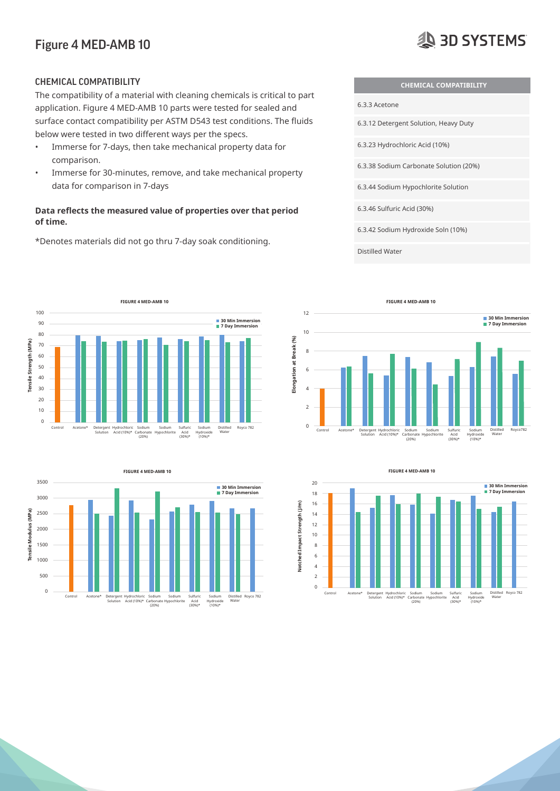#### Figure 4 MED-AMB 10  $\mathbf{F}$   $\mathbf{A}$

# **AD SYSTEMS**

The compatibility of a material with cleaning chemicals is critical to part **and 24 hours for absorption**. The compatibility of a material with cleaning chemicals is critical to part application. Figure 4 MED-AMB 10 parts were tested for sealed and **capability of the material per ASTM recommended** surface contact compatibility per ASTM D543 test conditions. The fluids below were tested in two different ways per the specs.<br>Solid material properties reported were printed as a material properties and vertical and vertical properties

- Immerse for 7-days, then take mechanical property data for **Example 3.3.23** Hydrochloric Acid (10%) comparison.  $\epsilon$  oriented to be oriented in a particular direction to exhibit the properties.
- Immerse for 30-minutes, remove, and take mechanical property data for comparison in 7-days

#### Data reflects the measured value of properties over that period **of time. MEASUREMENT CONDITION/METHOD METRIC ENGLISH**

\*Denotes materials did not go thru 7-day soak conditioning. Color Amber Amber Amber Amber And School Amber Amber And Amber Amber And Amber And Amber Amber And Amber And A



Distilled Water









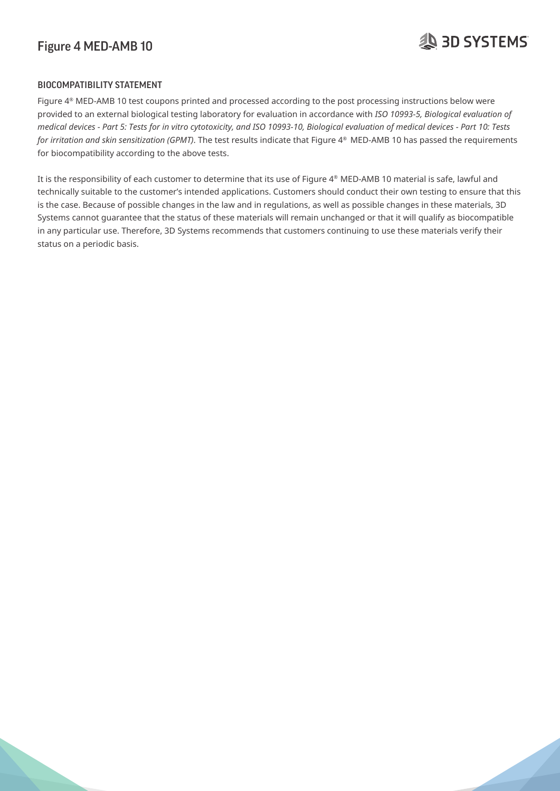### Figure 4 MED-AMB 10 Figure 4 MED-AMB 10

# **AD SYSTEMS**

### BIOCOMPATIBILITY STATEMENT **The full suite of mechanical properties are given per ASTM and ISO standards where a**

Figure 4<sup>®</sup> MED-AMB 10 test coupons printed and processed according to the post processing instructions below were provided to an external biological testing laboratory for evaluation in accordance with ISO 10993-5, Biological evaluation of provided to an external elevegical testing laboratory for creadation in decordance with 1997 by Biological evaluation of medical devices - Part 10: Tests *medical devices - Part 10: Tests* for irritation and skin sensitization (GPMT). The test results indicate that Figure 4<sup>®</sup> MED-AMB 10 has passed the requirements for biocompatibility according to the above tests.  $\frac{1}{2}$  isotropic Properties of the following section on Isotropic Properties. Because of this as detailed in this section on Isotropic Properties. Because of this, part

It is the responsibility of each customer to determine that its use of Figure 4® MED-AMB 10 material is safe, lawful and technically suitable to the customer's intended applications. Customers should conduct their own testing to ensure that this is the case. Because of possible changes in the law and in regulations, as well as possible changes in these materials, 3D  $S$ ystems cannot guarantee that the status of these materials will remain unchanged or that it will qualify as biocompatible in any particular use. Therefore, 3D Systems recommends that customers continuing to use these materials verify their status on a periodic basis.